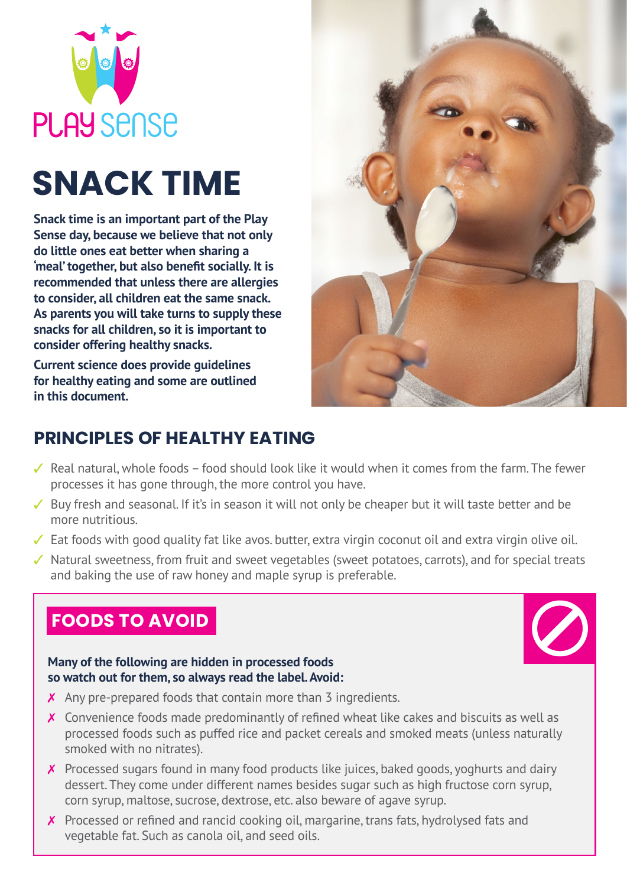

# **SNACK TIME**

**Snack time is an important part of the Play Sense day, because we believe that not only do little ones eat better when sharing a 'meal' together, but also benefit socially. It is recommended that unless there are allergies to consider, all children eat the same snack. As parents you will take turns to supply these snacks for all children, so it is important to consider offering healthy snacks.** 

**Current science does provide guidelines for healthy eating and some are outlined in this document.**



# **PRINCIPLES OF HEALTHY EATING**

- $\checkmark$  Real natural, whole foods food should look like it would when it comes from the farm. The fewer processes it has gone through, the more control you have.
- $\checkmark$  Buy fresh and seasonal. If it's in season it will not only be cheaper but it will taste better and be more nutritious.
- $\checkmark$  Eat foods with good quality fat like avos. butter, extra virgin coconut oil and extra virgin olive oil.
- $\checkmark$  Natural sweetness, from fruit and sweet vegetables (sweet potatoes, carrots), and for special treats and baking the use of raw honey and maple syrup is preferable.

## **FOODS TO AVOID**



#### **Many of the following are hidden in processed foods so watch out for them, so always read the label. Avoid:**

- $\chi$  Any pre-prepared foods that contain more than 3 ingredients.
- $\boldsymbol{\chi}$  Convenience foods made predominantly of refined wheat like cakes and biscuits as well as processed foods such as puffed rice and packet cereals and smoked meats (unless naturally smoked with no nitrates).
- X Processed sugars found in many food products like juices, baked goods, yoghurts and dairy dessert. They come under different names besides sugar such as high fructose corn syrup, corn syrup, maltose, sucrose, dextrose, etc. also beware of agave syrup.
- $\chi$  Processed or refined and rancid cooking oil, margarine, trans fats, hydrolysed fats and vegetable fat. Such as canola oil, and seed oils.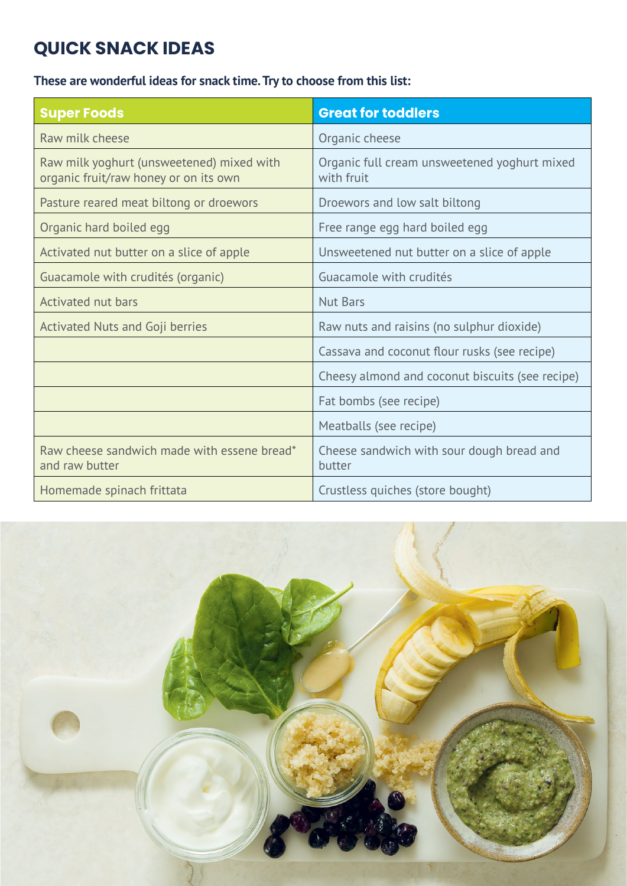# **QUICK SNACK IDEAS**

**These are wonderful ideas for snack time. Try to choose from this list:**

| <b>Super Foods</b>                                                                 | <b>Great for toddlers</b>                                  |
|------------------------------------------------------------------------------------|------------------------------------------------------------|
| Raw milk cheese                                                                    | Organic cheese                                             |
| Raw milk yoghurt (unsweetened) mixed with<br>organic fruit/raw honey or on its own | Organic full cream unsweetened yoghurt mixed<br>with fruit |
| Pasture reared meat biltong or droewors                                            | Droewors and low salt biltong                              |
| Organic hard boiled egg                                                            | Free range egg hard boiled egg                             |
| Activated nut butter on a slice of apple                                           | Unsweetened nut butter on a slice of apple                 |
| Guacamole with crudités (organic)                                                  | Guacamole with crudités                                    |
| Activated nut bars                                                                 | Nut Bars                                                   |
| Activated Nuts and Goji berries                                                    | Raw nuts and raisins (no sulphur dioxide)                  |
|                                                                                    | Cassava and coconut flour rusks (see recipe)               |
|                                                                                    | Cheesy almond and coconut biscuits (see recipe)            |
|                                                                                    | Fat bombs (see recipe)                                     |
|                                                                                    | Meatballs (see recipe)                                     |
| Raw cheese sandwich made with essene bread*<br>and raw butter                      | Cheese sandwich with sour dough bread and<br>butter        |
| Homemade spinach frittata                                                          | Crustless quiches (store bought)                           |

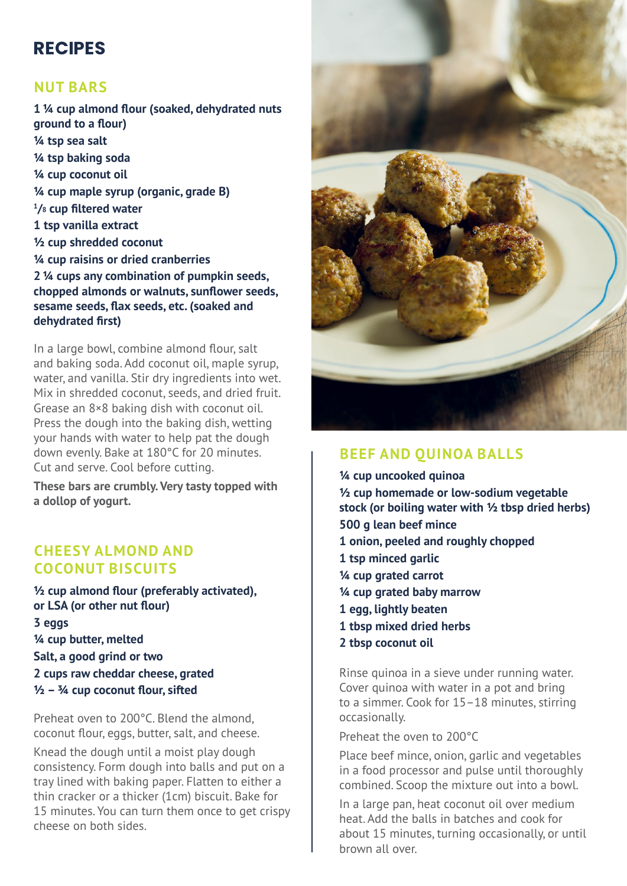## **RECIPES**

## **NUT BARS**

**1 ¼ cup almond flour (soaked, dehydrated nuts ground to a flour) ¼ tsp sea salt ¼ tsp baking soda ¼ cup coconut oil ¼ cup maple syrup (organic, grade B) 1 /8 cup filtered water 1 tsp vanilla extract ½ cup shredded coconut ¼ cup raisins or dried cranberries 2 ¼ cups any combination of pumpkin seeds, chopped almonds or walnuts, sunflower seeds, sesame seeds, flax seeds, etc. (soaked and dehydrated first)**

In a large bowl, combine almond flour, salt and baking soda. Add coconut oil, maple syrup, water, and vanilla. Stir dry ingredients into wet. Mix in shredded coconut, seeds, and dried fruit. Grease an 8×8 baking dish with coconut oil. Press the dough into the baking dish, wetting your hands with water to help pat the dough down evenly. Bake at 180°C for 20 minutes. Cut and serve. Cool before cutting.

**These bars are crumbly. Very tasty topped with a dollop of yogurt.**

#### **CHEESY ALMOND AND COCONUT BISCUITS**

**½ cup almond flour (preferably activated), or LSA (or other nut flour) 3 eggs ¼ cup butter, melted Salt, a good grind or two 2 cups raw cheddar cheese, grated ½ – ¾ cup coconut flour, sifted**

Preheat oven to 200°C. Blend the almond, coconut flour, eggs, butter, salt, and cheese.

Knead the dough until a moist play dough consistency. Form dough into balls and put on a tray lined with baking paper. Flatten to either a thin cracker or a thicker (1cm) biscuit. Bake for 15 minutes. You can turn them once to get crispy cheese on both sides.



## **BEEF AND QUINOA BALLS**

**¼ cup uncooked quinoa ½ cup homemade or low-sodium vegetable stock (or boiling water with ½ tbsp dried herbs) 500 g lean beef mince 1 onion, peeled and roughly chopped 1 tsp minced garlic ¼ cup grated carrot ¼ cup grated baby marrow 1 egg, lightly beaten 1 tbsp mixed dried herbs**

**2 tbsp coconut oil**

Rinse quinoa in a sieve under running water. Cover quinoa with water in a pot and bring to a simmer. Cook for 15–18 minutes, stirring occasionally.

Preheat the oven to 200°C

Place beef mince, onion, garlic and vegetables in a food processor and pulse until thoroughly combined. Scoop the mixture out into a bowl.

In a large pan, heat coconut oil over medium heat. Add the balls in batches and cook for about 15 minutes, turning occasionally, or until brown all over.